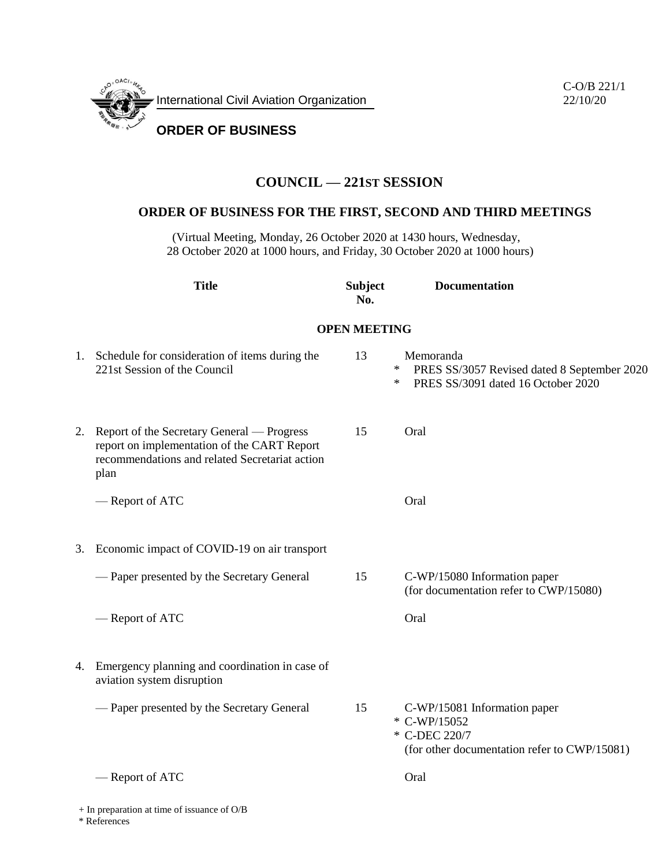

# C-O/B 221/1 22/10/20

# **COUNCIL — 221ST SESSION**

# **ORDER OF BUSINESS FOR THE FIRST, SECOND AND THIRD MEETINGS**

(Virtual Meeting, Monday, 26 October 2020 at 1430 hours, Wednesday, 28 October 2020 at 1000 hours, and Friday, 30 October 2020 at 1000 hours)

**Title Subject No.**

 **Documentation**

## **OPEN MEETING**

| 1. | Schedule for consideration of items during the<br>221st Session of the Council                                                                      | 13 | Memoranda<br>PRES SS/3057 Revised dated 8 September 2020<br>$\ast$<br>PRES SS/3091 dated 16 October 2020<br>$\ast$ |
|----|-----------------------------------------------------------------------------------------------------------------------------------------------------|----|--------------------------------------------------------------------------------------------------------------------|
| 2. | Report of the Secretary General — Progress<br>report on implementation of the CART Report<br>recommendations and related Secretariat action<br>plan | 15 | Oral                                                                                                               |
|    | — Report of ATC                                                                                                                                     |    | Oral                                                                                                               |
| 3. | Economic impact of COVID-19 on air transport                                                                                                        |    |                                                                                                                    |
|    | — Paper presented by the Secretary General                                                                                                          | 15 | C-WP/15080 Information paper<br>(for documentation refer to CWP/15080)                                             |
|    | - Report of ATC                                                                                                                                     |    | Oral                                                                                                               |
| 4. | Emergency planning and coordination in case of<br>aviation system disruption                                                                        |    |                                                                                                                    |
|    | — Paper presented by the Secretary General                                                                                                          | 15 | C-WP/15081 Information paper<br>* C-WP/15052<br>* C-DEC 220/7<br>(for other documentation refer to CWP/15081)      |
|    | — Report of ATC                                                                                                                                     |    | Oral                                                                                                               |
|    |                                                                                                                                                     |    |                                                                                                                    |

+ In preparation at time of issuance of O/B

\* References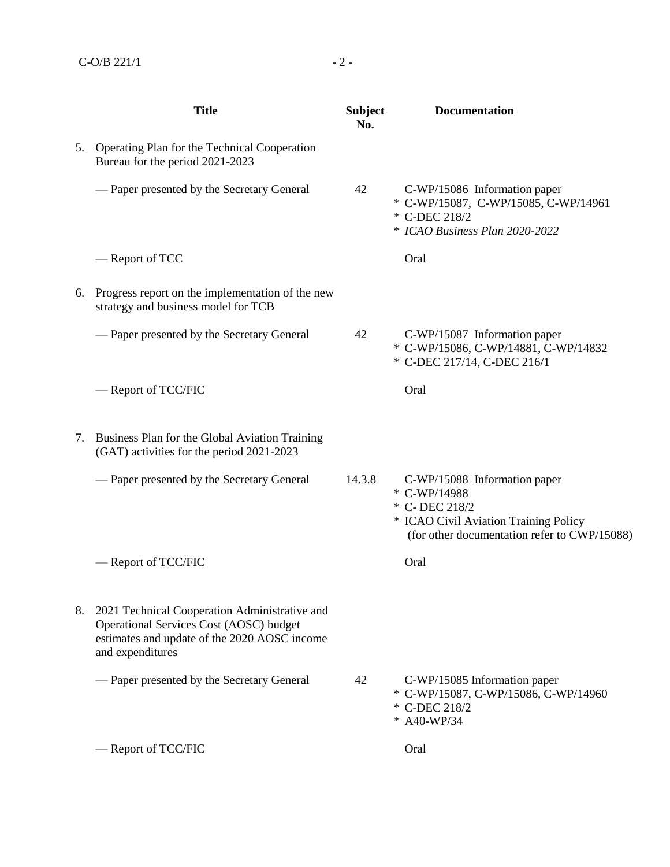|    | <b>Title</b>                                                                                                                                                    | <b>Subject</b><br>No. | <b>Documentation</b>                                                                                                                                   |
|----|-----------------------------------------------------------------------------------------------------------------------------------------------------------------|-----------------------|--------------------------------------------------------------------------------------------------------------------------------------------------------|
|    | 5. Operating Plan for the Technical Cooperation<br>Bureau for the period 2021-2023                                                                              |                       |                                                                                                                                                        |
|    | — Paper presented by the Secretary General                                                                                                                      | 42                    | C-WP/15086 Information paper<br>* C-WP/15087, C-WP/15085, C-WP/14961<br>* C-DEC 218/2<br>* ICAO Business Plan 2020-2022                                |
|    | -Report of TCC                                                                                                                                                  |                       | Oral                                                                                                                                                   |
| 6. | Progress report on the implementation of the new<br>strategy and business model for TCB                                                                         |                       |                                                                                                                                                        |
|    | — Paper presented by the Secretary General                                                                                                                      | 42                    | C-WP/15087 Information paper<br>* C-WP/15086, C-WP/14881, C-WP/14832<br>* C-DEC 217/14, C-DEC 216/1                                                    |
|    | — Report of TCC/FIC                                                                                                                                             |                       | Oral                                                                                                                                                   |
| 7. | Business Plan for the Global Aviation Training<br>(GAT) activities for the period 2021-2023                                                                     |                       |                                                                                                                                                        |
|    | — Paper presented by the Secretary General                                                                                                                      | 14.3.8                | C-WP/15088 Information paper<br>* C-WP/14988<br>* C-DEC 218/2<br>* ICAO Civil Aviation Training Policy<br>(for other documentation refer to CWP/15088) |
|    | - Report of TCC/FIC                                                                                                                                             |                       | Oral                                                                                                                                                   |
|    | 8. 2021 Technical Cooperation Administrative and<br>Operational Services Cost (AOSC) budget<br>estimates and update of the 2020 AOSC income<br>and expenditures |                       |                                                                                                                                                        |
|    | — Paper presented by the Secretary General                                                                                                                      | 42                    | C-WP/15085 Information paper<br>* C-WP/15087, C-WP/15086, C-WP/14960<br>* C-DEC 218/2<br>* A40-WP/34                                                   |
|    | - Report of TCC/FIC                                                                                                                                             |                       | Oral                                                                                                                                                   |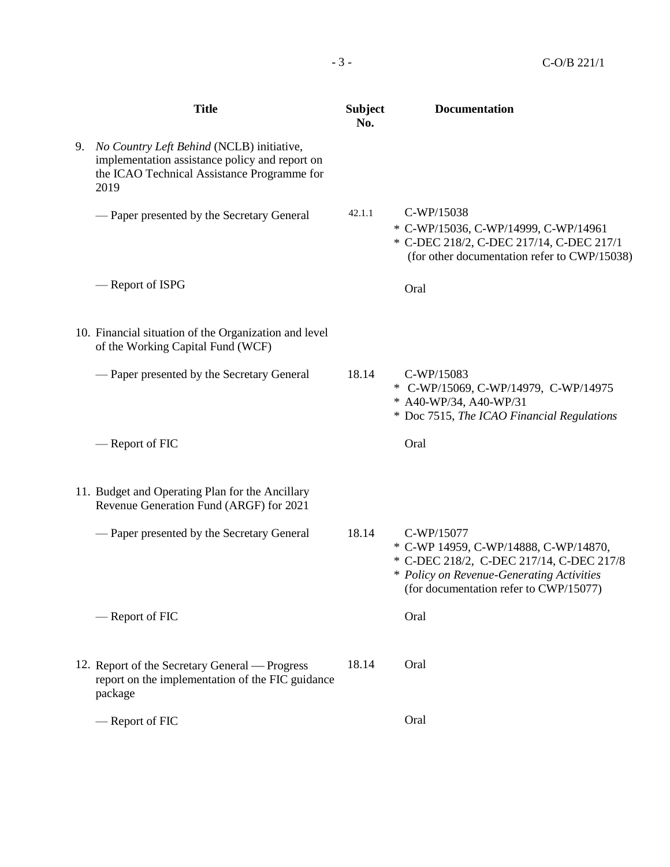| <b>Title</b>                                                                                                                                          | <b>Subject</b><br>No. | <b>Documentation</b>                                                                                                                                                                   |
|-------------------------------------------------------------------------------------------------------------------------------------------------------|-----------------------|----------------------------------------------------------------------------------------------------------------------------------------------------------------------------------------|
| 9. No Country Left Behind (NCLB) initiative,<br>implementation assistance policy and report on<br>the ICAO Technical Assistance Programme for<br>2019 |                       |                                                                                                                                                                                        |
| - Paper presented by the Secretary General                                                                                                            | 42.1.1                | C-WP/15038<br>* C-WP/15036, C-WP/14999, C-WP/14961<br>* C-DEC 218/2, C-DEC 217/14, C-DEC 217/1<br>(for other documentation refer to CWP/15038)                                         |
| — Report of ISPG                                                                                                                                      |                       | Oral                                                                                                                                                                                   |
| 10. Financial situation of the Organization and level<br>of the Working Capital Fund (WCF)                                                            |                       |                                                                                                                                                                                        |
| — Paper presented by the Secretary General                                                                                                            | 18.14                 | C-WP/15083<br>* C-WP/15069, C-WP/14979, C-WP/14975<br>* A40-WP/34, A40-WP/31<br>* Doc 7515, The ICAO Financial Regulations                                                             |
| — Report of FIC                                                                                                                                       |                       | Oral                                                                                                                                                                                   |
| 11. Budget and Operating Plan for the Ancillary<br>Revenue Generation Fund (ARGF) for 2021                                                            |                       |                                                                                                                                                                                        |
| - Paper presented by the Secretary General                                                                                                            | 18.14                 | C-WP/15077<br>* C-WP 14959, C-WP/14888, C-WP/14870,<br>* C-DEC 218/2, C-DEC 217/14, C-DEC 217/8<br>* Policy on Revenue-Generating Activities<br>(for documentation refer to CWP/15077) |
| - Report of FIC                                                                                                                                       |                       | Oral                                                                                                                                                                                   |
| 12. Report of the Secretary General — Progress<br>report on the implementation of the FIC guidance<br>package                                         | 18.14                 | Oral                                                                                                                                                                                   |
| — Report of FIC                                                                                                                                       |                       | Oral                                                                                                                                                                                   |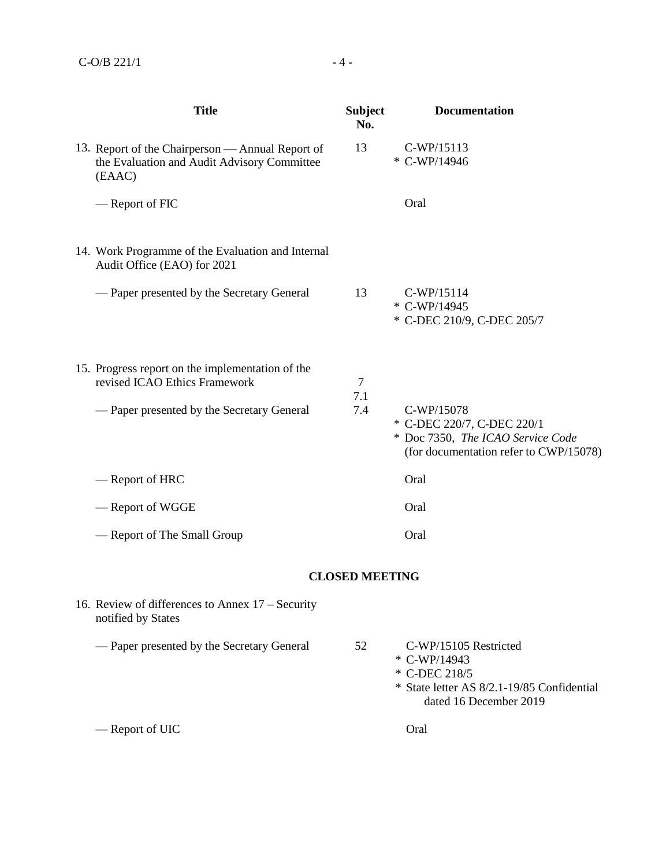| <b>Title</b>                                                                                              | <b>Subject</b><br>No. | <b>Documentation</b>                                                                                                    |
|-----------------------------------------------------------------------------------------------------------|-----------------------|-------------------------------------------------------------------------------------------------------------------------|
| 13. Report of the Chairperson — Annual Report of<br>the Evaluation and Audit Advisory Committee<br>(EAAC) | 13                    | C-WP/15113<br>* C-WP/14946                                                                                              |
| - Report of FIC                                                                                           |                       | Oral                                                                                                                    |
| 14. Work Programme of the Evaluation and Internal<br>Audit Office (EAO) for 2021                          |                       |                                                                                                                         |
| — Paper presented by the Secretary General                                                                | 13                    | C-WP/15114<br>* C-WP/14945<br>* C-DEC 210/9, C-DEC 205/7                                                                |
| 15. Progress report on the implementation of the<br>revised ICAO Ethics Framework                         | $\overline{7}$<br>7.1 |                                                                                                                         |
| — Paper presented by the Secretary General                                                                | 7.4                   | C-WP/15078<br>* C-DEC 220/7, C-DEC 220/1<br>* Doc 7350, The ICAO Service Code<br>(for documentation refer to CWP/15078) |
| — Report of HRC                                                                                           |                       | Oral                                                                                                                    |
| - Report of WGGE                                                                                          |                       | Oral                                                                                                                    |
| - Report of The Small Group                                                                               |                       | Oral                                                                                                                    |
|                                                                                                           | <b>CLOSED MEETING</b> |                                                                                                                         |

| 16. Review of differences to Annex $17 -$ Security<br>notified by States |    |                                                                                                                                |  |  |
|--------------------------------------------------------------------------|----|--------------------------------------------------------------------------------------------------------------------------------|--|--|
| — Paper presented by the Secretary General                               | 52 | C-WP/15105 Restricted<br>* C-WP/14943<br>* C-DEC 218/5<br>* State letter AS 8/2.1-19/85 Confidential<br>dated 16 December 2019 |  |  |
| — Report of UIC                                                          |    | Oral                                                                                                                           |  |  |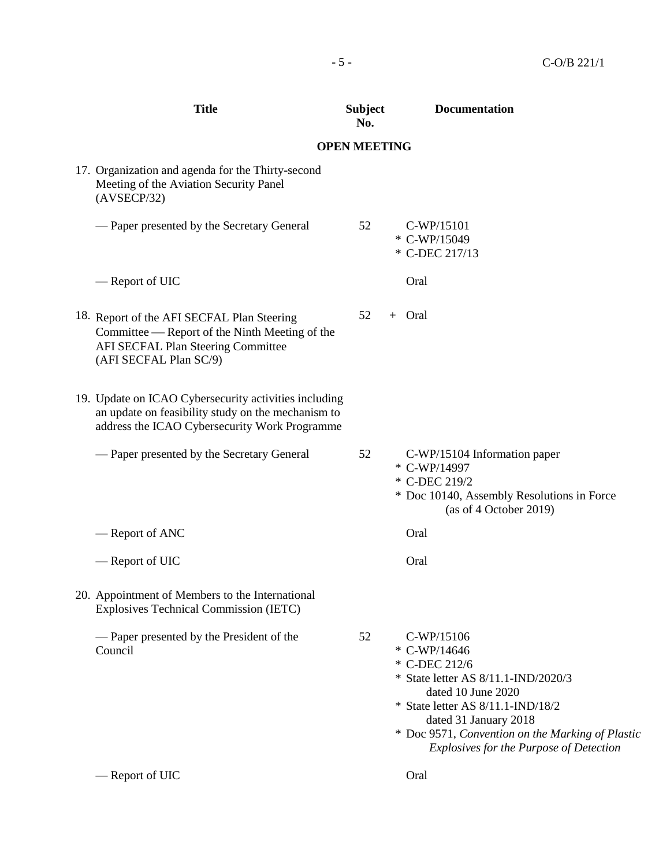|  | <b>Title</b>                                                                                                                                                 | <b>Subject</b><br>No. | <b>Documentation</b>                                                                                                                                                                                                                                                         |
|--|--------------------------------------------------------------------------------------------------------------------------------------------------------------|-----------------------|------------------------------------------------------------------------------------------------------------------------------------------------------------------------------------------------------------------------------------------------------------------------------|
|  |                                                                                                                                                              | <b>OPEN MEETING</b>   |                                                                                                                                                                                                                                                                              |
|  | 17. Organization and agenda for the Thirty-second<br>Meeting of the Aviation Security Panel<br>(AVSECP/32)                                                   |                       |                                                                                                                                                                                                                                                                              |
|  | — Paper presented by the Secretary General                                                                                                                   | 52                    | $C-WP/15101$<br>* C-WP/15049<br>* C-DEC 217/13                                                                                                                                                                                                                               |
|  | — Report of UIC                                                                                                                                              |                       | Oral                                                                                                                                                                                                                                                                         |
|  | 18. Report of the AFI SECFAL Plan Steering<br>Committee — Report of the Ninth Meeting of the<br>AFI SECFAL Plan Steering Committee<br>(AFI SECFAL Plan SC/9) | 52                    | + Oral                                                                                                                                                                                                                                                                       |
|  | 19. Update on ICAO Cybersecurity activities including<br>an update on feasibility study on the mechanism to<br>address the ICAO Cybersecurity Work Programme |                       |                                                                                                                                                                                                                                                                              |
|  | — Paper presented by the Secretary General                                                                                                                   | 52                    | C-WP/15104 Information paper<br>* C-WP/14997<br>* C-DEC 219/2<br>* Doc 10140, Assembly Resolutions in Force<br>(as of 4 October 2019)                                                                                                                                        |
|  | — Report of ANC                                                                                                                                              |                       | Oral                                                                                                                                                                                                                                                                         |
|  | - Report of UIC                                                                                                                                              |                       | Oral                                                                                                                                                                                                                                                                         |
|  | 20. Appointment of Members to the International<br><b>Explosives Technical Commission (IETC)</b>                                                             |                       |                                                                                                                                                                                                                                                                              |
|  | — Paper presented by the President of the<br>Council                                                                                                         | 52                    | C-WP/15106<br>* C-WP/14646<br>* C-DEC 212/6<br>* State letter AS 8/11.1-IND/2020/3<br>dated 10 June 2020<br>* State letter AS 8/11.1-IND/18/2<br>dated 31 January 2018<br>* Doc 9571, Convention on the Marking of Plastic<br><b>Explosives for the Purpose of Detection</b> |
|  | - Report of UIC                                                                                                                                              |                       | Oral                                                                                                                                                                                                                                                                         |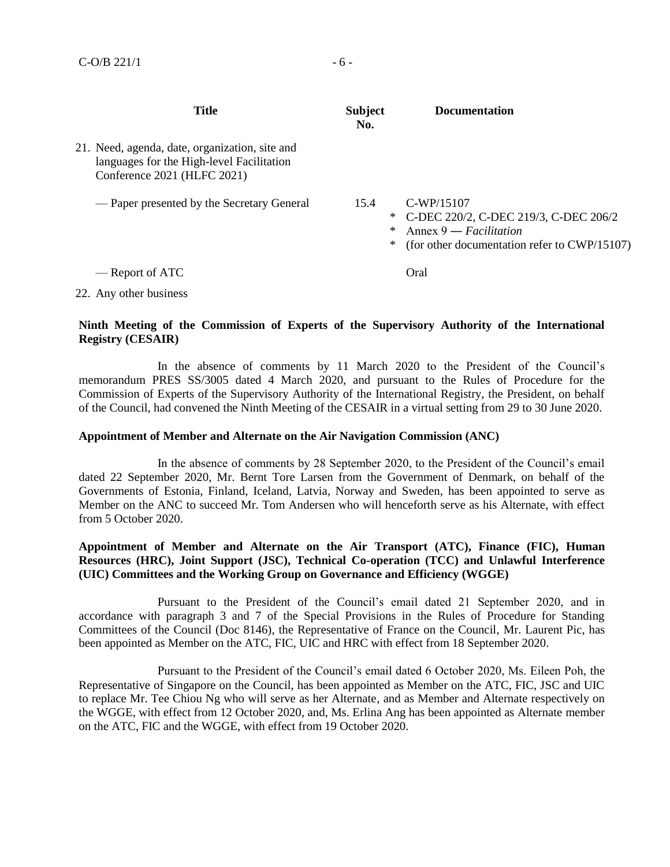| <b>Title</b>                                                                                                               | <b>Subject</b><br>No. | <b>Documentation</b>                                                                                                                     |
|----------------------------------------------------------------------------------------------------------------------------|-----------------------|------------------------------------------------------------------------------------------------------------------------------------------|
| 21. Need, agenda, date, organization, site and<br>languages for the High-level Facilitation<br>Conference 2021 (HLFC 2021) |                       |                                                                                                                                          |
| — Paper presented by the Secretary General                                                                                 | 15.4<br>∗<br>∗<br>∗   | $C-WP/15107$<br>C-DEC 220/2, C-DEC 219/3, C-DEC 206/2<br>Annex $9$ — <i>Facilitation</i><br>(for other documentation refer to CWP/15107) |
| — Report of ATC                                                                                                            |                       | Oral                                                                                                                                     |
| 22. Any other business                                                                                                     |                       |                                                                                                                                          |

#### **Ninth Meeting of the Commission of Experts of the Supervisory Authority of the International Registry (CESAIR)**

In the absence of comments by 11 March 2020 to the President of the Council's memorandum PRES SS/3005 dated 4 March 2020, and pursuant to the Rules of Procedure for the Commission of Experts of the Supervisory Authority of the International Registry, the President, on behalf of the Council, had convened the Ninth Meeting of the CESAIR in a virtual setting from 29 to 30 June 2020.

#### **Appointment of Member and Alternate on the Air Navigation Commission (ANC)**

In the absence of comments by 28 September 2020, to the President of the Council's email dated 22 September 2020, Mr. Bernt Tore Larsen from the Government of Denmark, on behalf of the Governments of Estonia, Finland, Iceland, Latvia, Norway and Sweden, has been appointed to serve as Member on the ANC to succeed Mr. Tom Andersen who will henceforth serve as his Alternate, with effect from 5 October 2020.

### **Appointment of Member and Alternate on the Air Transport (ATC), Finance (FIC), Human Resources (HRC), Joint Support (JSC), Technical Co-operation (TCC) and Unlawful Interference (UIC) Committees and the Working Group on Governance and Efficiency (WGGE)**

Pursuant to the President of the Council's email dated 21 September 2020, and in accordance with paragraph 3 and 7 of the Special Provisions in the Rules of Procedure for Standing Committees of the Council (Doc 8146), the Representative of France on the Council, Mr. Laurent Pic, has been appointed as Member on the ATC, FIC, UIC and HRC with effect from 18 September 2020.

Pursuant to the President of the Council's email dated 6 October 2020, Ms. Eileen Poh, the Representative of Singapore on the Council, has been appointed as Member on the ATC, FIC, JSC and UIC to replace Mr. Tee Chiou Ng who will serve as her Alternate, and as Member and Alternate respectively on the WGGE, with effect from 12 October 2020, and, Ms. Erlina Ang has been appointed as Alternate member on the ATC, FIC and the WGGE, with effect from 19 October 2020.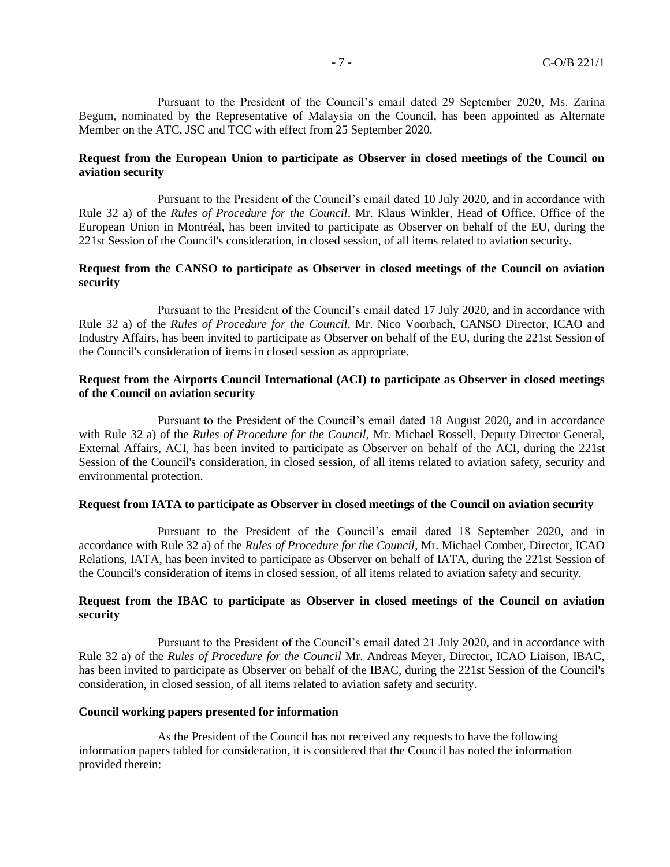Pursuant to the President of the Council's email dated 29 September 2020, Ms. Zarina Begum, nominated by the Representative of Malaysia on the Council, has been appointed as Alternate Member on the ATC, JSC and TCC with effect from 25 September 2020.

### **Request from the European Union to participate as Observer in closed meetings of the Council on aviation security**

Pursuant to the President of the Council's email dated 10 July 2020, and in accordance with Rule 32 a) of the *Rules of Procedure for the Council*, Mr. Klaus Winkler, Head of Office, Office of the European Union in Montréal, has been invited to participate as Observer on behalf of the EU, during the 221st Session of the Council's consideration, in closed session, of all items related to aviation security.

#### **Request from the CANSO to participate as Observer in closed meetings of the Council on aviation security**

Pursuant to the President of the Council's email dated 17 July 2020, and in accordance with Rule 32 a) of the *Rules of Procedure for the Council*, Mr. Nico Voorbach, CANSO Director, ICAO and Industry Affairs, has been invited to participate as Observer on behalf of the EU, during the 221st Session of the Council's consideration of items in closed session as appropriate.

### **Request from the Airports Council International (ACI) to participate as Observer in closed meetings of the Council on aviation security**

Pursuant to the President of the Council's email dated 18 August 2020, and in accordance with Rule 32 a) of the *Rules of Procedure for the Council*, Mr. Michael Rossell, Deputy Director General, External Affairs, ACI, has been invited to participate as Observer on behalf of the ACI, during the 221st Session of the Council's consideration, in closed session, of all items related to aviation safety, security and environmental protection.

#### **Request from IATA to participate as Observer in closed meetings of the Council on aviation security**

Pursuant to the President of the Council's email dated 18 September 2020, and in accordance with Rule 32 a) of the *Rules of Procedure for the Council*, Mr. Michael Comber, Director, ICAO Relations, IATA, has been invited to participate as Observer on behalf of IATA, during the 221st Session of the Council's consideration of items in closed session, of all items related to aviation safety and security.

### **Request from the IBAC to participate as Observer in closed meetings of the Council on aviation security**

Pursuant to the President of the Council's email dated 21 July 2020, and in accordance with Rule 32 a) of the *Rules of Procedure for the Council* Mr. Andreas Meyer, Director, ICAO Liaison, IBAC, has been invited to participate as Observer on behalf of the IBAC, during the 221st Session of the Council's consideration, in closed session, of all items related to aviation safety and security.

#### **Council working papers presented for information**

As the President of the Council has not received any requests to have the following information papers tabled for consideration, it is considered that the Council has noted the information provided therein: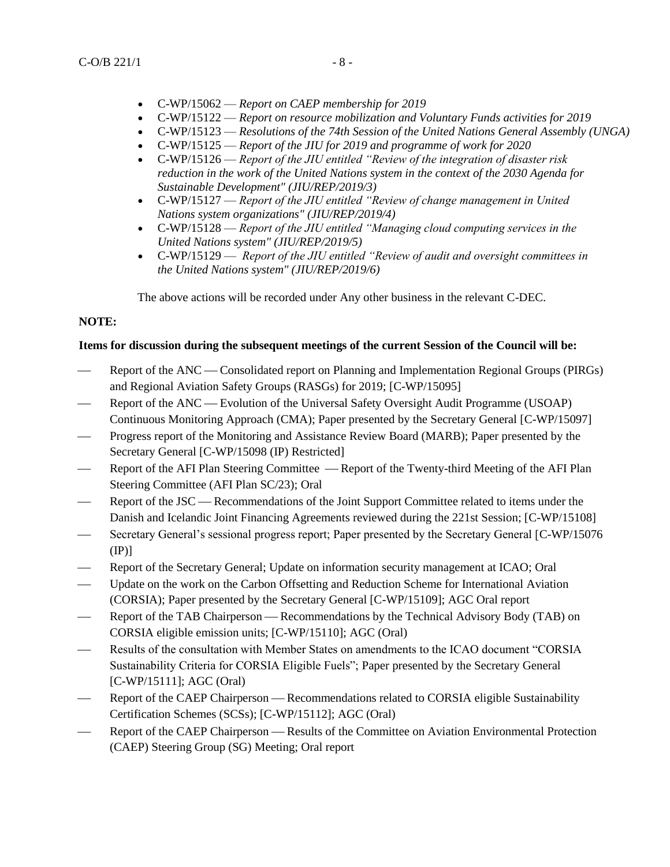- C-WP/15062 *Report on CAEP membership for 2019*
- C-WP/15122 *Report on resource mobilization and Voluntary Funds activities for 2019*
- C-WP/15123 *Resolutions of the 74th Session of the United Nations General Assembly (UNGA)*
- C-WP/15125 *Report of the JIU for 2019 and programme of work for 2020*
- C-WP/15126 *Report of the JIU entitled "Review of the integration of disaster risk reduction in the work of the United Nations system in the context of the 2030 Agenda for Sustainable Development" (JIU/REP/2019/3)*
- C-WP/15127 *Report of the JIU entitled "Review of change management in United Nations system organizations" (JIU/REP/2019/4)*
- C-WP/15128 *Report of the JIU entitled "Managing cloud computing services in the United Nations system" (JIU/REP/2019/5)*
- C-WP/15129 *Report of the JIU entitled "Review of audit and oversight committees in the United Nations system" (JIU/REP/2019/6)*

The above actions will be recorded under Any other business in the relevant C-DEC.

#### **NOTE:**

#### **Items for discussion during the subsequent meetings of the current Session of the Council will be:**

- Report of the ANC Consolidated report on Planning and Implementation Regional Groups (PIRGs) and Regional Aviation Safety Groups (RASGs) for 2019; [C-WP/15095]
- Report of the ANC Evolution of the Universal Safety Oversight Audit Programme (USOAP) Continuous Monitoring Approach (CMA); Paper presented by the Secretary General [C-WP/15097]
- Progress report of the Monitoring and Assistance Review Board (MARB); Paper presented by the Secretary General [C-WP/15098 (IP) Restricted]
- Report of the AFI Plan Steering Committee Report of the Twenty-third Meeting of the AFI Plan Steering Committee (AFI Plan SC/23); Oral
- Report of the JSC Recommendations of the Joint Support Committee related to items under the Danish and Icelandic Joint Financing Agreements reviewed during the 221st Session; [C-WP/15108]
- Secretary General's sessional progress report; Paper presented by the Secretary General [C-WP/15076  $(\mathbb{P})$ ]
- Report of the Secretary General; Update on information security management at ICAO; Oral
- Update on the work on the Carbon Offsetting and Reduction Scheme for International Aviation (CORSIA); Paper presented by the Secretary General [C-WP/15109]; AGC Oral report
- Report of the TAB Chairperson Recommendations by the Technical Advisory Body (TAB) on CORSIA eligible emission units; [C-WP/15110]; AGC (Oral)
- Results of the consultation with Member States on amendments to the ICAO document "CORSIA Sustainability Criteria for CORSIA Eligible Fuels"; Paper presented by the Secretary General [C-WP/15111]; AGC (Oral)
- Report of the CAEP Chairperson Recommendations related to CORSIA eligible Sustainability Certification Schemes (SCSs); [C-WP/15112]; AGC (Oral)
- Report of the CAEP Chairperson Results of the Committee on Aviation Environmental Protection (CAEP) Steering Group (SG) Meeting; Oral report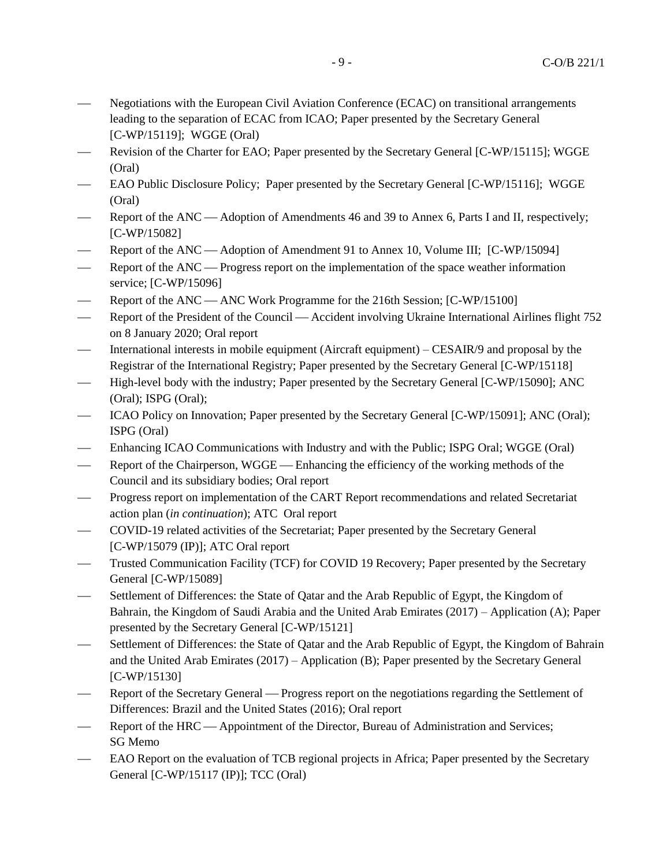- Negotiations with the European Civil Aviation Conference (ECAC) on transitional arrangements leading to the separation of ECAC from ICAO; Paper presented by the Secretary General [C-WP/15119]; WGGE (Oral)
- Revision of the Charter for EAO; Paper presented by the Secretary General [C-WP/15115]; WGGE (Oral)
- EAO Public Disclosure Policy; Paper presented by the Secretary General [C-WP/15116]; WGGE (Oral)
- Report of the ANC Adoption of Amendments 46 and 39 to Annex 6, Parts I and II, respectively; [C-WP/15082]
- Report of the ANC Adoption of Amendment 91 to Annex 10, Volume III; [C-WP/15094]
- $\equiv$  Report of the ANC  $\equiv$  Progress report on the implementation of the space weather information service; [C-WP/15096]
- Report of the ANC ANC Work Programme for the 216th Session; [C-WP/15100]
- Report of the President of the Council Accident involving Ukraine International Airlines flight 752 on 8 January 2020; Oral report
- International interests in mobile equipment (Aircraft equipment) CESAIR/9 and proposal by the Registrar of the International Registry; Paper presented by the Secretary General [C-WP/15118]
- $-$  High-level body with the industry; Paper presented by the Secretary General [C-WP/15090]; ANC (Oral); ISPG (Oral);
- ICAO Policy on Innovation; Paper presented by the Secretary General [C-WP/15091]; ANC (Oral); ISPG (Oral)
- Enhancing ICAO Communications with Industry and with the Public; ISPG Oral; WGGE (Oral)
- Report of the Chairperson, WGGE Enhancing the efficiency of the working methods of the Council and its subsidiary bodies; Oral report
- Progress report on implementation of the CART Report recommendations and related Secretariat action plan (*in continuation*); ATC Oral report
- COVID-19 related activities of the Secretariat; Paper presented by the Secretary General [C-WP/15079 (IP)]; ATC Oral report
- Trusted Communication Facility (TCF) for COVID 19 Recovery; Paper presented by the Secretary General [C-WP/15089]
- Settlement of Differences: the State of Qatar and the Arab Republic of Egypt, the Kingdom of Bahrain, the Kingdom of Saudi Arabia and the United Arab Emirates (2017) – Application (A); Paper presented by the Secretary General [C-WP/15121]
- Settlement of Differences: the State of Qatar and the Arab Republic of Egypt, the Kingdom of Bahrain and the United Arab Emirates (2017) – Application (B); Paper presented by the Secretary General [C-WP/15130]
- Report of the Secretary General Progress report on the negotiations regarding the Settlement of Differences: Brazil and the United States (2016); Oral report
- Report of the HRC Appointment of the Director, Bureau of Administration and Services; SG Memo
- EAO Report on the evaluation of TCB regional projects in Africa; Paper presented by the Secretary General [C-WP/15117 (IP)]; TCC (Oral)